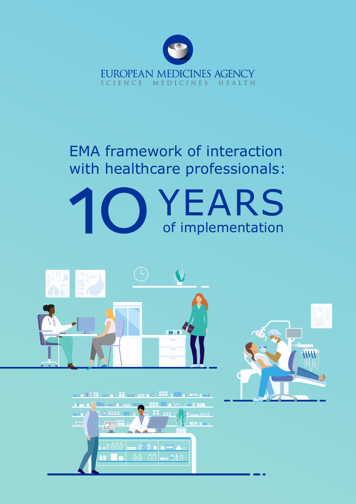

# EMA framework of interaction with healthcare professionals:





 $\equiv$  555  $\equiv$   $\parallel$  $\hat{a}$   $\hat{a}$   $\hat{a}$   $\hat{b}$   $\hat{c}$ 

99 eee

 $-$  568  $-$ 

 $-7500$ 

 $\blacksquare$  B  $\blacksquare$  B  $\blacksquare$ 

**Sac** 

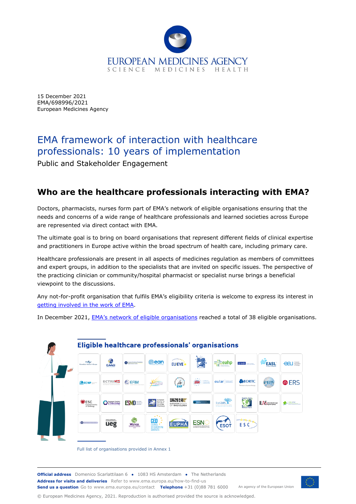

15 December 2021 EMA/698996/2021 European Medicines Agency

# EMA framework of interaction with healthcare professionals: 10 years of implementation

Public and Stakeholder Engagement

# **Who are the healthcare professionals interacting with EMA?**

Doctors, pharmacists, nurses form part of EMA's network of eligible organisations ensuring that the needs and concerns of a wide range of healthcare professionals and learned societies across Europe are represented via direct contact with EMA.

The ultimate goal is to bring on board organisations that represent different fields of clinical expertise and practitioners in Europe active within the broad spectrum of health care, including primary care.

Healthcare professionals are present in all aspects of medicines regulation as members of committees and expert groups, in addition to the specialists that are invited on specific issues. The perspective of the practicing clinician or community/hospital pharmacist or specialist nurse brings a beneficial viewpoint to the discussions.

Any not-for-profit organisation that fulfils EMA's eligibility criteria is welcome to express its interest in [getting involved in the work of EMA.](https://www.ema.europa.eu/en/partners-networks/healthcare-professionals/getting-involved)

In December 2021, **EMA's network of eligible organisations** reached a total of 38 eligible organisations.



Full list of organisations provided in Annex 1

**Official address** Domenico Scarlattilaan 6 **●** 1083 HS Amsterdam **●** The Netherlands An agency of the European Union **Address for visits and deliveries** Refer to www.ema.europa.eu/how-to-find-us **Send us a question** Go to www.ema.europa.eu/contact **Telephone** +31 (0)88 781 6000



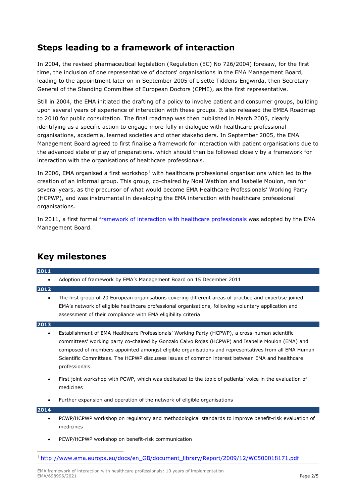## **Steps leading to a framework of interaction**

In 2004, the revised pharmaceutical legislation (Regulation (EC) No 726/2004) foresaw, for the first time, the inclusion of one representative of doctors' organisations in the EMA Management Board, leading to the appointment later on in September 2005 of Lisette Tiddens-Engwirda, then Secretary-General of the Standing Committee of European Doctors (CPME), as the first representative.

Still in 2004, the EMA initiated the drafting of a policy to involve patient and consumer groups, building upon several years of experience of interaction with these groups. It also released the EMEA Roadmap to 2010 for public consultation. The final roadmap was then published in March 2005, clearly identifying as a specific action to engage more fully in dialogue with healthcare professional organisations, academia, learned societies and other stakeholders. In September 2005, the EMA Management Board agreed to first finalise a framework for interaction with patient organisations due to the advanced state of play of preparations, which should then be followed closely by a framework for interaction with the organisations of healthcare professionals.

In 2006, EMA organised a first workshop<sup>[1](#page-2-0)</sup> with healthcare professional organisations which led to the creation of an informal group. This group, co-chaired by Noel Wathion and Isabelle Moulon, ran for several years, as the precursor of what would become EMA Healthcare Professionals' Working Party (HCPWP), and was instrumental in developing the EMA interaction with healthcare professional organisations.

In 2011, a first formal *framework of interaction with healthcare professionals* was adopted by the EMA Management Board.

# **Key milestones**

**2011**

• Adoption of framework by EMA's Management Board on 15 December 2011

#### **2012**

• The first group of 20 European organisations covering different areas of practice and expertise joined EMA's network of eligible healthcare professional organisations, following voluntary application and assessment of their compliance with EMA eligibility criteria

#### **2013**

- Establishment of EMA Healthcare Professionals' Working Party (HCPWP), a cross-human scientific committees' working party co-chaired by Gonzalo Calvo Rojas (HCPWP) and Isabelle Moulon (EMA) and composed of members appointed amongst eligible organisations and representatives from all EMA Human Scientific Committees. The HCPWP discusses issues of common interest between EMA and healthcare professionals.
- First joint workshop with PCWP, which was dedicated to the topic of patients' voice in the evaluation of medicines
- Further expansion and operation of the network of eligible organisations

#### **2014**

- PCWP/HCPWP workshop on regulatory and methodological standards to improve benefit-risk evaluation of medicines
- PCWP/HCPWP workshop on benefit-risk communication
- <span id="page-2-0"></span><sup>1</sup> [http://www.ema.europa.eu/docs/en\\_GB/document\\_library/Report/2009/12/WC500018171.pdf](http://www.ema.europa.eu/docs/en_GB/document_library/Report/2009/12/WC500018171.pdf)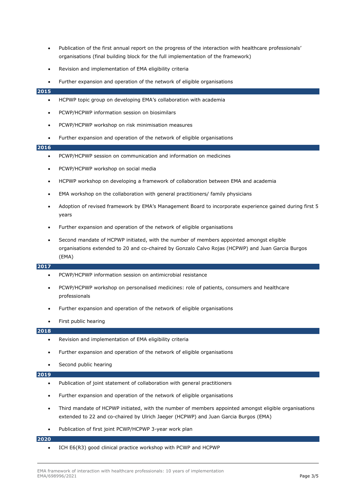- Publication of the first annual report on the progress of the interaction with healthcare professionals' organisations (final building block for the full implementation of the framework)
- Revision and implementation of EMA eligibility criteria

#### • Further expansion and operation of the network of eligible organisations

#### **2015**

- HCPWP topic group on developing EMA's collaboration with academia
- PCWP/HCPWP information session on biosimilars
- PCWP/HCPWP workshop on risk minimisation measures
- Further expansion and operation of the network of eligible organisations

#### **2016**

- PCWP/HCPWP session on communication and information on medicines
- PCWP/HCPWP workshop on social media
- HCPWP workshop on developing a framework of collaboration between EMA and academia
- EMA workshop on the collaboration with general practitioners/ family physicians
- Adoption of revised framework by EMA's Management Board to incorporate experience gained during first 5 years
- Further expansion and operation of the network of eligible organisations
- Second mandate of HCPWP initiated, with the number of members appointed amongst eligible organisations extended to 20 and co-chaired by Gonzalo Calvo Rojas (HCPWP) and Juan Garcia Burgos (EMA)

#### **2017**

- PCWP/HCPWP information session on antimicrobial resistance
- PCWP/HCPWP workshop on personalised medicines: role of patients, consumers and healthcare professionals
- Further expansion and operation of the network of eligible organisations
- First public hearing

#### **2018**

- Revision and implementation of EMA eligibility criteria
- Further expansion and operation of the network of eligible organisations
- Second public hearing

#### **2019**

- Publication of joint statement of collaboration with general practitioners
- Further expansion and operation of the network of eligible organisations
- Third mandate of HCPWP initiated, with the number of members appointed amongst eligible organisations extended to 22 and co-chaired by Ulrich Jaeger (HCPWP) and Juan Garcia Burgos (EMA)
- Publication of first joint PCWP/HCPWP 3-year work plan

#### **2020**

• ICH E6(R3) good clinical practice workshop with PCWP and HCPWP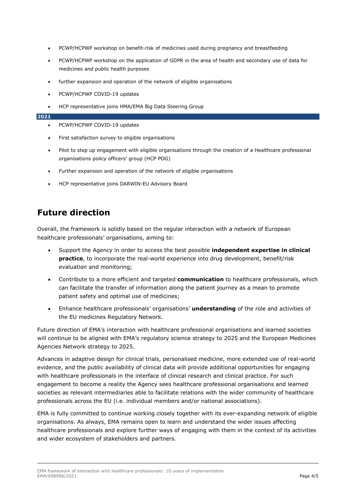- PCWP/HCPWP workshop on benefit-risk of medicines used during pregnancy and breastfeeding
- PCWP/HCPWP workshop on the application of GDPR in the area of health and secondary use of data for medicines and public health purposes
- further expansion and operation of the network of eligible organisations
- PCWP/HCPWP COVID-19 updates
- HCP representative joins HMA/EMA Big Data Steering Group

#### **2021**

- PCWP/HCPWP COVID-19 updates
- First satisfaction survey to eligible organisations
- Pilot to step up engagement with eligible organisations through the creation of a Healthcare professional organisations policy officers' group (HCP POG)
- Further expansion and operation of the network of eligible organisations
- HCP representative joins DARWIN-EU Advisory Board

# **Future direction**

Overall, the framework is solidly based on the regular interaction with a network of European healthcare professionals' organisations, aiming to:

- Support the Agency in order to access the best possible **independent expertise in clinical practice**, to incorporate the real-world experience into drug development, benefit/risk evaluation and monitoring;
- Contribute to a more efficient and targeted **communication** to healthcare professionals, which can facilitate the transfer of information along the patient journey as a mean to promote patient safety and optimal use of medicines;
- Enhance healthcare professionals' organisations' **understanding** of the role and activities of the EU medicines Regulatory Network.

Future direction of EMA's interaction with healthcare professional organisations and learned societies will continue to be aligned with EMA's regulatory science strategy to 2025 and the European Medicines Agencies Network strategy to 2025.

Advances in adaptive design for clinical trials, personalised medicine, more extended use of real-world evidence, and the public availability of clinical data will provide additional opportunities for engaging with healthcare professionals in the interface of clinical research and clinical practice. For such engagement to become a reality the Agency sees healthcare professional organisations and learned societies as relevant intermediaries able to facilitate relations with the wider community of healthcare professionals across the EU (i.e. individual members and/or national associations).

EMA is fully committed to continue working closely together with its ever-expanding network of eligible organisations. As always, EMA remains open to learn and understand the wider issues affecting healthcare professionals and explore further ways of engaging with them in the context of its activities and wider ecosystem of stakeholders and partners.